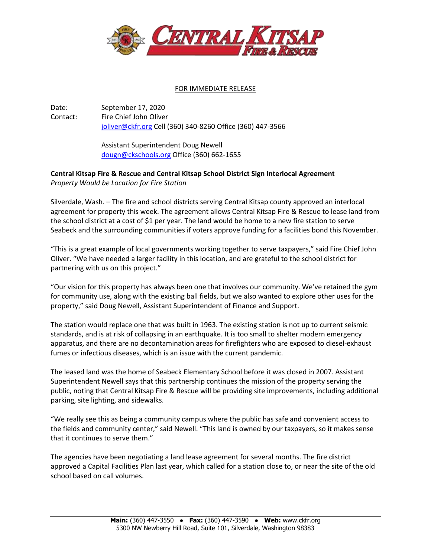

## FOR IMMEDIATE RELEASE

Date: September 17, 2020 Contact: Fire Chief John Oliver [joliver@ckfr.org](mailto:joliver@ckfr.org) Cell (360) 340-8260 Office (360) 447-3566

> Assistant Superintendent Doug Newell [dougn@ckschools.org](mailto:dougn@ckschools.org) Office (360) 662-1655

## **Central Kitsap Fire & Rescue and Central Kitsap School District Sign Interlocal Agreement** *Property Would be Location for Fire Station*

Silverdale, Wash. – The fire and school districts serving Central Kitsap county approved an interlocal agreement for property this week. The agreement allows Central Kitsap Fire & Rescue to lease land from the school district at a cost of \$1 per year. The land would be home to a new fire station to serve Seabeck and the surrounding communities if voters approve funding for a facilities bond this November.

"This is a great example of local governments working together to serve taxpayers," said Fire Chief John Oliver. "We have needed a larger facility in this location, and are grateful to the school district for partnering with us on this project."

"Our vision for this property has always been one that involves our community. We've retained the gym for community use, along with the existing ball fields, but we also wanted to explore other uses for the property," said Doug Newell, Assistant Superintendent of Finance and Support.

The station would replace one that was built in 1963. The existing station is not up to current seismic standards, and is at risk of collapsing in an earthquake. It is too small to shelter modern emergency apparatus, and there are no decontamination areas for firefighters who are exposed to diesel-exhaust fumes or infectious diseases, which is an issue with the current pandemic.

The leased land was the home of Seabeck Elementary School before it was closed in 2007. Assistant Superintendent Newell says that this partnership continues the mission of the property serving the public, noting that Central Kitsap Fire & Rescue will be providing site improvements, including additional parking, site lighting, and sidewalks.

"We really see this as being a community campus where the public has safe and convenient access to the fields and community center," said Newell. "This land is owned by our taxpayers, so it makes sense that it continues to serve them."

The agencies have been negotiating a land lease agreement for several months. The fire district approved a Capital Facilities Plan last year, which called for a station close to, or near the site of the old school based on call volumes.